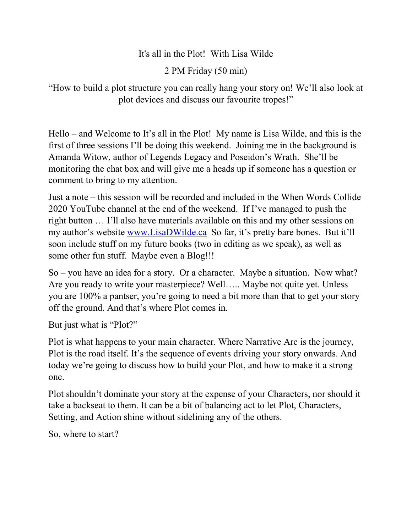#### It's all in the Plot! With Lisa Wilde

2 PM Friday (50 min)

"How to build a plot structure you can really hang your story on! We'll also look at plot devices and discuss our favourite tropes!"

Hello – and Welcome to It's all in the Plot! My name is Lisa Wilde, and this is the first of three sessions I'll be doing this weekend. Joining me in the background is Amanda Witow, author of Legends Legacy and Poseidon's Wrath. She'll be monitoring the chat box and will give me a heads up if someone has a question or comment to bring to my attention.

Just a note – this session will be recorded and included in the When Words Collide 2020 YouTube channel at the end of the weekend. If I've managed to push the right button … I'll also have materials available on this and my other sessions on my author's website [www.LisaDWilde.ca](http://www.lisadwilde.ca/) So far, it's pretty bare bones. But it'll soon include stuff on my future books (two in editing as we speak), as well as some other fun stuff. Maybe even a Blog!!!

So – you have an idea for a story. Or a character. Maybe a situation. Now what? Are you ready to write your masterpiece? Well….. Maybe not quite yet. Unless you are 100% a pantser, you're going to need a bit more than that to get your story off the ground. And that's where Plot comes in.

But just what is "Plot?"

Plot is what happens to your main character. Where Narrative Arc is the journey, Plot is the road itself. It's the sequence of events driving your story onwards. And today we're going to discuss how to build your Plot, and how to make it a strong one.

Plot shouldn't dominate your story at the expense of your Characters, nor should it take a backseat to them. It can be a bit of balancing act to let Plot, Characters, Setting, and Action shine without sidelining any of the others.

So, where to start?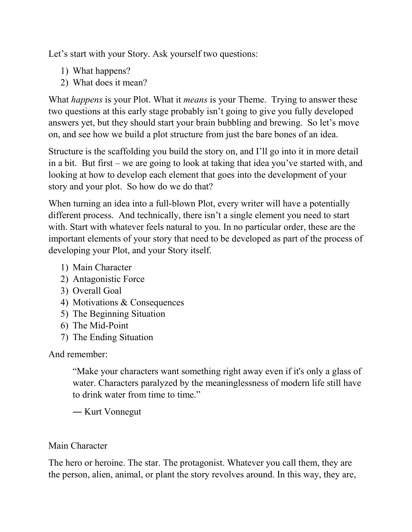Let's start with your Story. Ask yourself two questions:

- 1) What happens?
- 2) What does it mean?

What *happens* is your Plot. What it *means* is your Theme. Trying to answer these two questions at this early stage probably isn't going to give you fully developed answers yet, but they should start your brain bubbling and brewing. So let's move on, and see how we build a plot structure from just the bare bones of an idea.

Structure is the scaffolding you build the story on, and I'll go into it in more detail in a bit. But first – we are going to look at taking that idea you've started with, and looking at how to develop each element that goes into the development of your story and your plot. So how do we do that?

When turning an idea into a full-blown Plot, every writer will have a potentially different process. And technically, there isn't a single element you need to start with. Start with whatever feels natural to you. In no particular order, these are the important elements of your story that need to be developed as part of the process of developing your Plot, and your Story itself.

- 1) Main Character
- 2) Antagonistic Force
- 3) Overall Goal
- 4) Motivations & Consequences
- 5) The Beginning Situation
- 6) The Mid-Point
- 7) The Ending Situation

And remember:

"Make your characters want something right away even if it's only a glass of water. Characters paralyzed by the meaninglessness of modern life still have to drink water from time to time."

― Kurt Vonnegut

# Main Character

The hero or heroine. The star. The protagonist. Whatever you call them, they are the person, alien, animal, or plant the story revolves around. In this way, they are,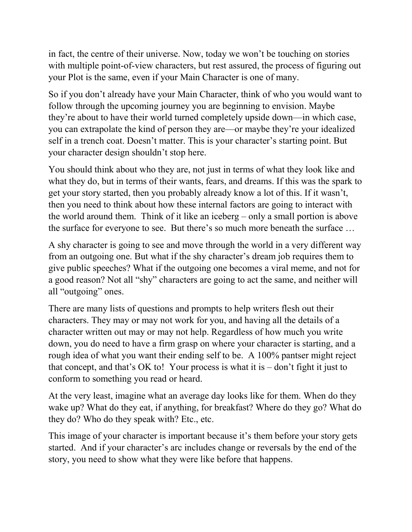in fact, the centre of their universe. Now, today we won't be touching on stories with multiple point-of-view characters, but rest assured, the process of figuring out your Plot is the same, even if your Main Character is one of many.

So if you don't already have your Main Character, think of who you would want to follow through the upcoming journey you are beginning to envision. Maybe they're about to have their world turned completely upside down—in which case, you can extrapolate the kind of person they are—or maybe they're your idealized self in a trench coat. Doesn't matter. This is your character's starting point. But your character design shouldn't stop here.

You should think about who they are, not just in terms of what they look like and what they do, but in terms of their wants, fears, and dreams. If this was the spark to get your story started, then you probably already know a lot of this. If it wasn't, then you need to think about how these internal factors are going to interact with the world around them. Think of it like an iceberg – only a small portion is above the surface for everyone to see. But there's so much more beneath the surface …

A shy character is going to see and move through the world in a very different way from an outgoing one. But what if the shy character's dream job requires them to give public speeches? What if the outgoing one becomes a viral meme, and not for a good reason? Not all "shy" characters are going to act the same, and neither will all "outgoing" ones.

There are many lists of questions and prompts to help writers flesh out their characters. They may or may not work for you, and having all the details of a character written out may or may not help. Regardless of how much you write down, you do need to have a firm grasp on where your character is starting, and a rough idea of what you want their ending self to be. A 100% pantser might reject that concept, and that's OK to! Your process is what it is  $-$  don't fight it just to conform to something you read or heard.

At the very least, imagine what an average day looks like for them. When do they wake up? What do they eat, if anything, for breakfast? Where do they go? What do they do? Who do they speak with? Etc., etc.

This image of your character is important because it's them before your story gets started. And if your character's arc includes change or reversals by the end of the story, you need to show what they were like before that happens.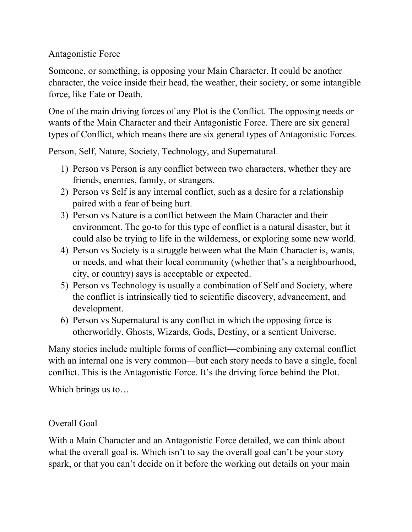Antagonistic Force

Someone, or something, is opposing your Main Character. It could be another character, the voice inside their head, the weather, their society, or some intangible force, like Fate or Death.

One of the main driving forces of any Plot is the Conflict. The opposing needs or wants of the Main Character and their Antagonistic Force. There are six general types of Conflict, which means there are six general types of Antagonistic Forces.

Person, Self, Nature, Society, Technology, and Supernatural.

- 1) Person vs Person is any conflict between two characters, whether they are friends, enemies, family, or strangers.
- 2) Person vs Self is any internal conflict, such as a desire for a relationship paired with a fear of being hurt.
- 3) Person vs Nature is a conflict between the Main Character and their environment. The go-to for this type of conflict is a natural disaster, but it could also be trying to life in the wilderness, or exploring some new world.
- 4) Person vs Society is a struggle between what the Main Character is, wants, or needs, and what their local community (whether that's a neighbourhood, city, or country) says is acceptable or expected.
- 5) Person vs Technology is usually a combination of Self and Society, where the conflict is intrinsically tied to scientific discovery, advancement, and development.
- 6) Person vs Supernatural is any conflict in which the opposing force is otherworldly. Ghosts, Wizards, Gods, Destiny, or a sentient Universe.

Many stories include multiple forms of conflict—combining any external conflict with an internal one is very common—but each story needs to have a single, focal conflict. This is the Antagonistic Force. It's the driving force behind the Plot.

Which brings us to…

# Overall Goal

With a Main Character and an Antagonistic Force detailed, we can think about what the overall goal is. Which isn't to say the overall goal can't be your story spark, or that you can't decide on it before the working out details on your main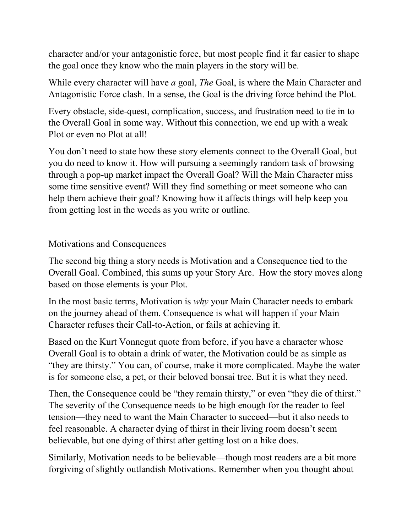character and/or your antagonistic force, but most people find it far easier to shape the goal once they know who the main players in the story will be.

While every character will have *a* goal, *The* Goal, is where the Main Character and Antagonistic Force clash. In a sense, the Goal is the driving force behind the Plot.

Every obstacle, side-quest, complication, success, and frustration need to tie in to the Overall Goal in some way. Without this connection, we end up with a weak Plot or even no Plot at all!

You don't need to state how these story elements connect to the Overall Goal, but you do need to know it. How will pursuing a seemingly random task of browsing through a pop-up market impact the Overall Goal? Will the Main Character miss some time sensitive event? Will they find something or meet someone who can help them achieve their goal? Knowing how it affects things will help keep you from getting lost in the weeds as you write or outline.

Motivations and Consequences

The second big thing a story needs is Motivation and a Consequence tied to the Overall Goal. Combined, this sums up your Story Arc. How the story moves along based on those elements is your Plot.

In the most basic terms, Motivation is *why* your Main Character needs to embark on the journey ahead of them. Consequence is what will happen if your Main Character refuses their Call-to-Action, or fails at achieving it.

Based on the Kurt Vonnegut quote from before, if you have a character whose Overall Goal is to obtain a drink of water, the Motivation could be as simple as "they are thirsty." You can, of course, make it more complicated. Maybe the water is for someone else, a pet, or their beloved bonsai tree. But it is what they need.

Then, the Consequence could be "they remain thirsty," or even "they die of thirst." The severity of the Consequence needs to be high enough for the reader to feel tension—they need to want the Main Character to succeed—but it also needs to feel reasonable. A character dying of thirst in their living room doesn't seem believable, but one dying of thirst after getting lost on a hike does.

Similarly, Motivation needs to be believable—though most readers are a bit more forgiving of slightly outlandish Motivations. Remember when you thought about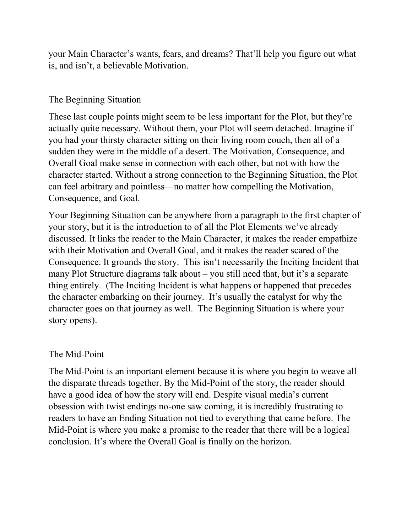your Main Character's wants, fears, and dreams? That'll help you figure out what is, and isn't, a believable Motivation.

#### The Beginning Situation

These last couple points might seem to be less important for the Plot, but they're actually quite necessary. Without them, your Plot will seem detached. Imagine if you had your thirsty character sitting on their living room couch, then all of a sudden they were in the middle of a desert. The Motivation, Consequence, and Overall Goal make sense in connection with each other, but not with how the character started. Without a strong connection to the Beginning Situation, the Plot can feel arbitrary and pointless—no matter how compelling the Motivation, Consequence, and Goal.

Your Beginning Situation can be anywhere from a paragraph to the first chapter of your story, but it is the introduction to of all the Plot Elements we've already discussed. It links the reader to the Main Character, it makes the reader empathize with their Motivation and Overall Goal, and it makes the reader scared of the Consequence. It grounds the story. This isn't necessarily the Inciting Incident that many Plot Structure diagrams talk about – you still need that, but it's a separate thing entirely. (The Inciting Incident is what happens or happened that precedes the character embarking on their journey. It's usually the catalyst for why the character goes on that journey as well. The Beginning Situation is where your story opens).

# The Mid-Point

The Mid-Point is an important element because it is where you begin to weave all the disparate threads together. By the Mid-Point of the story, the reader should have a good idea of how the story will end. Despite visual media's current obsession with twist endings no-one saw coming, it is incredibly frustrating to readers to have an Ending Situation not tied to everything that came before. The Mid-Point is where you make a promise to the reader that there will be a logical conclusion. It's where the Overall Goal is finally on the horizon.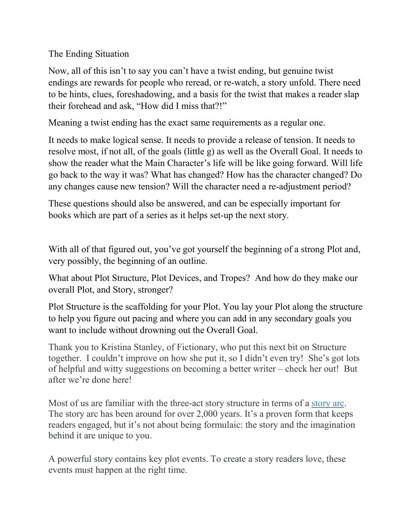The Ending Situation

Now, all of this isn't to say you can't have a twist ending, but genuine twist endings are rewards for people who reread, or re-watch, a story unfold. There need to be hints, clues, foreshadowing, and a basis for the twist that makes a reader slap their forehead and ask, "How did I miss that?!"

Meaning a twist ending has the exact same requirements as a regular one.

It needs to make logical sense. It needs to provide a release of tension. It needs to resolve most, if not all, of the goals (little g) as well as the Overall Goal. It needs to show the reader what the Main Character's life will be like going forward. Will life go back to the way it was? What has changed? How has the character changed? Do any changes cause new tension? Will the character need a re-adjustment period?

These questions should also be answered, and can be especially important for books which are part of a series as it helps set-up the next story.

With all of that figured out, you've got yourself the beginning of a strong Plot and, very possibly, the beginning of an outline.

What about Plot Structure, Plot Devices, and Tropes? And how do they make our overall Plot, and Story, stronger?

Plot Structure is the scaffolding for your Plot. You lay your Plot along the structure to help you figure out pacing and where you can add in any secondary goals you want to include without drowning out the Overall Goal.

Thank you to Kristina Stanley, of Fictionary, who put this next bit on Structure together. I couldn't improve on how she put it, so I didn't even try! She's got lots of helpful and witty suggestions on becoming a better writer – check her out! But after we're done here!

Most of us are familiar with the three-act story structure in terms of a [story arc.](https://prowritingaid.com/art/320/Are-You-Ready-to-Draft-Your-Story-Arc-.aspx) The story arc has been around for over 2,000 years. It's a proven form that keeps readers engaged, but it's not about being formulaic: the story and the imagination behind it are unique to you.

A powerful story contains key plot events. To create a story readers love, these events must happen at the right time.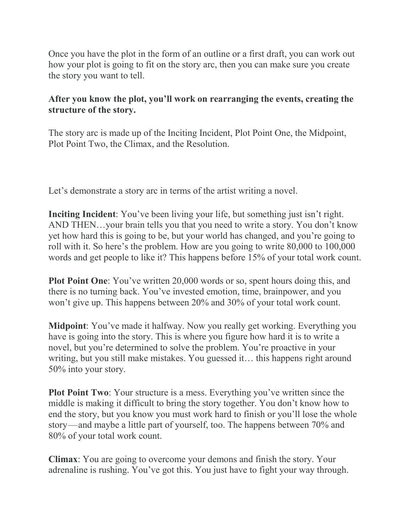Once you have the plot in the form of an outline or a first draft, you can work out how your plot is going to fit on the story arc, then you can make sure you create the story you want to tell.

# **After you know the plot, you'll work on rearranging the events, creating the structure of the story.**

The story arc is made up of the Inciting Incident, Plot Point One, the Midpoint, Plot Point Two, the Climax, and the Resolution.

Let's demonstrate a story arc in terms of the artist writing a novel.

**Inciting Incident**: You've been living your life, but something just isn't right. AND THEN…your brain tells you that you need to write a story. You don't know yet how hard this is going to be, but your world has changed, and you're going to roll with it. So here's the problem. How are you going to write 80,000 to 100,000 words and get people to like it? This happens before 15% of your total work count.

**Plot Point One**: You've written 20,000 words or so, spent hours doing this, and there is no turning back. You've invested emotion, time, brainpower, and you won't give up. This happens between 20% and 30% of your total work count.

**Midpoint**: You've made it halfway. Now you really get working. Everything you have is going into the story. This is where you figure how hard it is to write a novel, but you're determined to solve the problem. You're proactive in your writing, but you still make mistakes. You guessed it… this happens right around 50% into your story.

**Plot Point Two**: Your structure is a mess. Everything you've written since the middle is making it difficult to bring the story together. You don't know how to end the story, but you know you must work hard to finish or you'll lose the whole story — and maybe a little part of yourself, too. The happens between 70% and 80% of your total work count.

**Climax**: You are going to overcome your demons and finish the story. Your adrenaline is rushing. You've got this. You just have to fight your way through.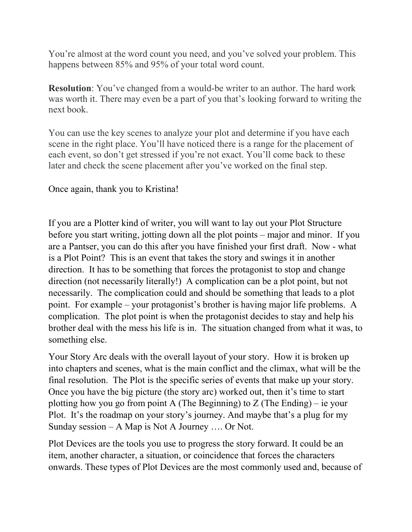You're almost at the word count you need, and you've solved your problem. This happens between 85% and 95% of your total word count.

**Resolution**: You've changed from a would-be writer to an author. The hard work was worth it. There may even be a part of you that's looking forward to writing the next book.

You can use the key scenes to analyze your plot and determine if you have each scene in the right place. You'll have noticed there is a range for the placement of each event, so don't get stressed if you're not exact. You'll come back to these later and check the scene placement after you've worked on the final step.

Once again, thank you to Kristina!

If you are a Plotter kind of writer, you will want to lay out your Plot Structure before you start writing, jotting down all the plot points – major and minor. If you are a Pantser, you can do this after you have finished your first draft. Now - what is a Plot Point? This is an event that takes the story and swings it in another direction. It has to be something that forces the protagonist to stop and change direction (not necessarily literally!) A complication can be a plot point, but not necessarily. The complication could and should be something that leads to a plot point. For example – your protagonist's brother is having major life problems. A complication. The plot point is when the protagonist decides to stay and help his brother deal with the mess his life is in. The situation changed from what it was, to something else.

Your Story Arc deals with the overall layout of your story. How it is broken up into chapters and scenes, what is the main conflict and the climax, what will be the final resolution. The Plot is the specific series of events that make up your story. Once you have the big picture (the story arc) worked out, then it's time to start plotting how you go from point A (The Beginning) to Z (The Ending) – ie your Plot. It's the roadmap on your story's journey. And maybe that's a plug for my Sunday session – A Map is Not A Journey …. Or Not.

Plot Devices are the tools you use to progress the story forward. It could be an item, another character, a situation, or coincidence that forces the characters onwards. These types of Plot Devices are the most commonly used and, because of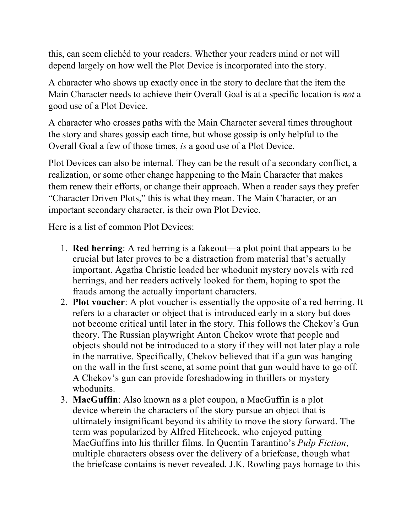this, can seem clichéd to your readers. Whether your readers mind or not will depend largely on how well the Plot Device is incorporated into the story.

A character who shows up exactly once in the story to declare that the item the Main Character needs to achieve their Overall Goal is at a specific location is *not* a good use of a Plot Device.

A character who crosses paths with the Main Character several times throughout the story and shares gossip each time, but whose gossip is only helpful to the Overall Goal a few of those times, *is* a good use of a Plot Device.

Plot Devices can also be internal. They can be the result of a secondary conflict, a realization, or some other change happening to the Main Character that makes them renew their efforts, or change their approach. When a reader says they prefer "Character Driven Plots," this is what they mean. The Main Character, or an important secondary character, is their own Plot Device.

Here is a list of common Plot Devices:

- 1. **Red herring**: A red herring is a [fakeout—](https://www.masterclass.com/articles/what-is-a-red-herring-in-writing-definition-of-red-herring-with-examples)a plot point that appears to be crucial but later proves to be a distraction from material that's actually important. Agatha Christie loaded her whodunit mystery novels with red herrings, and her readers actively looked for them, hoping to spot the frauds among the actually important characters.
- 2. **Plot voucher**: A plot voucher is essentially the opposite of a red herring. It refers to a character or object that is introduced early in a story but does not become critical until later in the story. This follows the [Chekov's](https://www.masterclass.com/articles/writing-101-what-is-chekhovs-gun-learn-how-to-use-chekhovs-gun-in-your-writing) Gun [theory.](https://www.masterclass.com/articles/writing-101-what-is-chekhovs-gun-learn-how-to-use-chekhovs-gun-in-your-writing) The Russian playwright Anton Chekov wrote that people and objects should not be introduced to a story if they will not later play a role in the narrative. Specifically, Chekov believed that if a gun was hanging on the wall in the first scene, at some point that gun would have to go off. A Chekov's gun can provide foreshadowing in thrillers or mystery whodunits.
- 3. **MacGuffin**: Also known as a plot coupon, a [MacGuffin](https://www.masterclass.com/articles/writing-101-what-is-a-macguffin-learn-about-macguffins-in-film-literature-and-popular-culture) is a plot [device](https://www.masterclass.com/articles/writing-101-what-is-a-macguffin-learn-about-macguffins-in-film-literature-and-popular-culture) wherein the characters of the story pursue an object that is ultimately insignificant beyond its ability to move the story forward. The term was popularized by Alfred Hitchcock, who enjoyed putting MacGuffins into his thriller films. In Quentin Tarantino's *Pulp Fiction*, multiple characters obsess over the delivery of a briefcase, though what the briefcase contains is never revealed. J.K. Rowling pays homage to this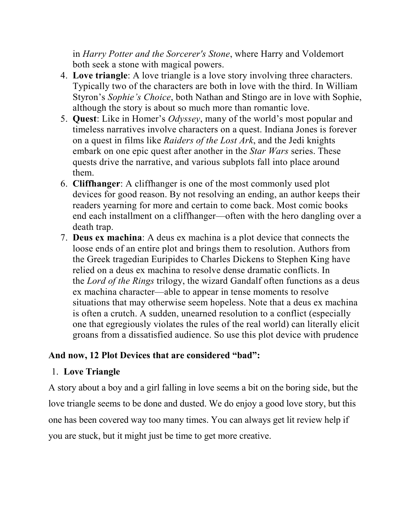in *Harry Potter and the Sorcerer's Stone*, where Harry and Voldemort both seek a stone with magical powers.

- 4. **Love triangle**: A love triangle is a love story involving three characters. Typically two of the characters are both in love with the third. In William Styron's *Sophie's Choice*, both Nathan and Stingo are in love with Sophie, although the story is about so much more than romantic love.
- 5. **Quest**: Like in Homer's *Odyssey*, many of the world's most popular and timeless narratives involve characters on a quest. Indiana Jones is forever on a quest in films like *Raiders of the Lost Ark*, and the Jedi knights embark on one epic quest after another in the *Star Wars* series. These quests drive the narrative, and various [subplots](https://www.masterclass.com/articles/how-to-add-subplots-to-your-story) fall into place around them.
- 6. **Cliffhanger**: A [cliffhanger](https://www.masterclass.com/articles/how-to-write-a-cliffhanger-14-tips-for-writing-page-turning-cliffhangers-with-dan-brown-and-rl-stine) is one of the most commonly used plot [devices](https://www.masterclass.com/articles/how-to-write-a-cliffhanger-14-tips-for-writing-page-turning-cliffhangers-with-dan-brown-and-rl-stine) for good reason. By not resolving an ending, an author keeps their readers yearning for more and certain to come back. Most comic books end each installment on a cliffhanger—often with the hero dangling over a death trap.
- 7. **Deus ex machina**: A deus ex machina is a plot device that connects the loose ends of an entire plot and brings them to resolution. Authors from the Greek tragedian Euripides to Charles Dickens to Stephen King have relied on a deus ex machina to resolve dense dramatic conflicts. In the *Lord of the Rings* trilogy, the wizard Gandalf often functions as a deus ex machina character—able to appear in tense moments to resolve situations that may otherwise seem hopeless. Note that a deus ex machina is often a crutch. A sudden, unearned resolution to a conflict (especially one that egregiously violates the rules of the real world) can literally elicit groans from a dissatisfied audience. So use this plot device with prudence

# **And now, 12 Plot Devices that are considered "bad":**

#### 1. **Love Triangle**

A story about a boy and a girl falling in love seems a bit on the boring side, but the love triangle seems to be done and dusted. We do enjoy a good love story, but this one has been covered way too many times. You can always get [lit review help](https://www.literaturereviewwritingservice.com/write-my-literature-review-with-pleasure/) if you are stuck, but it might just be time to get more creative.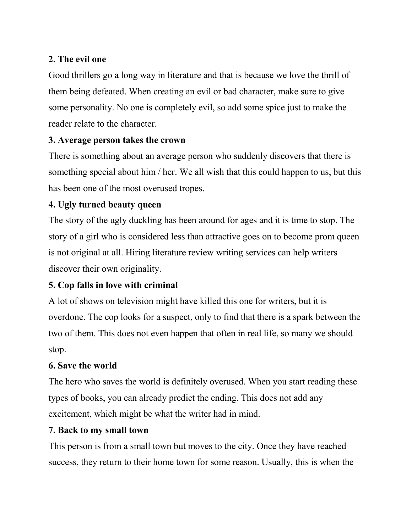# **2. The evil one**

Good thrillers go a long way in literature and that is because we love the thrill of them being defeated. When creating an evil or bad character, make sure to give some personality. No one is completely evil, so add some spice just to make the reader relate to the character.

# **3. Average person takes the crown**

There is something about an average person who suddenly discovers that there is something special about him / her. We all wish that this could happen to us, but this has been one of the most overused tropes.

# **4. Ugly turned beauty queen**

The [story of the ugly duckling](http://www.umich.edu/%7Echildlit/UglyDuckling/display1.htm) has been around for ages and it is time to stop. The story of a girl who is considered less than attractive goes on to become prom queen is not original at all. Hiring literature review writing services can help writers discover their own originality.

# **5. Cop falls in love with criminal**

A lot of shows on television might have killed this one for writers, but it is overdone. The cop looks for a suspect, only to find that there is a spark between the two of them. This does not even happen that often in real life, so many we should stop.

#### **6. Save the world**

The hero who saves the world is definitely overused. When you start reading these types of books, you can already predict the ending. This does not add any excitement, which might be what the writer had in mind.

#### **7. Back to my small town**

This person is from a small town but moves to the city. Once they have reached success, they return to their home town for some reason. Usually, this is when the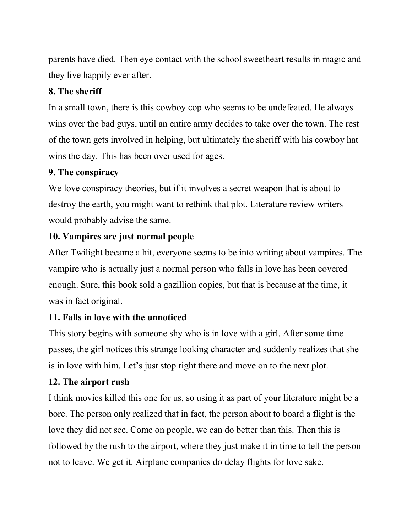parents have died. Then eye contact with the school sweetheart results in magic and they live happily ever after.

# **8. The sheriff**

In a small town, there is this cowboy cop who seems to be undefeated. He always wins over the bad guys, until an entire army decides to take over the town. The rest of the town gets involved in helping, but ultimately the sheriff with his cowboy hat wins the day. This has been over used for ages.

#### **9. The conspiracy**

We love conspiracy theories, but if it involves a secret weapon that is about to destroy the earth, you might want to rethink that plot. Literature review writers would probably advise the same.

# **10. Vampires are just normal people**

After Twilight became a hit, everyone seems to be into writing about vampires. The vampire who is actually just a normal person who falls in love has been covered enough. Sure, this book sold a gazillion copies, but that is because at the time, it was in fact original.

# **11. Falls in love with the unnoticed**

This story begins with someone shy who is in love with a girl. After some time passes, the girl notices this strange looking character and suddenly realizes that she is in love with him. Let's just stop right there and move on to the next plot.

# **12. The airport rush**

I think movies killed this one for us, so using it as part of your literature might be a bore. The person only realized that in fact, the person about to board a flight is the love they did not see. Come on people, we can do better than this. Then this is followed by the rush to the airport, where they just make it in time to tell the person not to leave. We get it. Airplane companies do delay flights for love sake.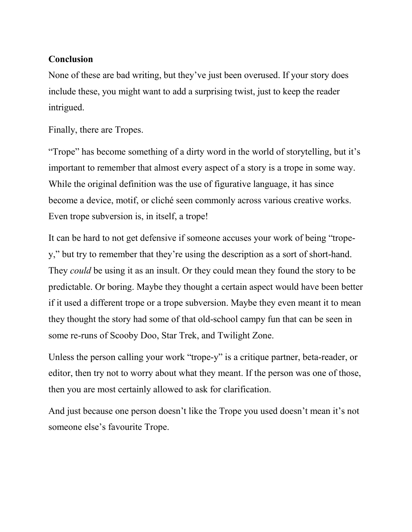#### **Conclusion**

None of these are bad writing, but they've just been overused. If your story does include these, you might want to add a surprising twist, just to keep the reader intrigued.

Finally, there are Tropes.

"Trope" has become something of a dirty word in the world of storytelling, but it's important to remember that almost every aspect of a story is a trope in some way. While the original definition was the use of figurative language, it has since become a device, motif, or cliché seen commonly across various creative works. Even trope subversion is, in itself, a trope!

It can be hard to not get defensive if someone accuses your work of being "tropey," but try to remember that they're using the description as a sort of short-hand. They *could* be using it as an insult. Or they could mean they found the story to be predictable. Or boring. Maybe they thought a certain aspect would have been better if it used a different trope or a trope subversion. Maybe they even meant it to mean they thought the story had some of that old-school campy fun that can be seen in some re-runs of Scooby Doo, Star Trek, and Twilight Zone.

Unless the person calling your work "trope-y" is a critique partner, beta-reader, or editor, then try not to worry about what they meant. If the person was one of those, then you are most certainly allowed to ask for clarification.

And just because one person doesn't like the Trope you used doesn't mean it's not someone else's favourite Trope.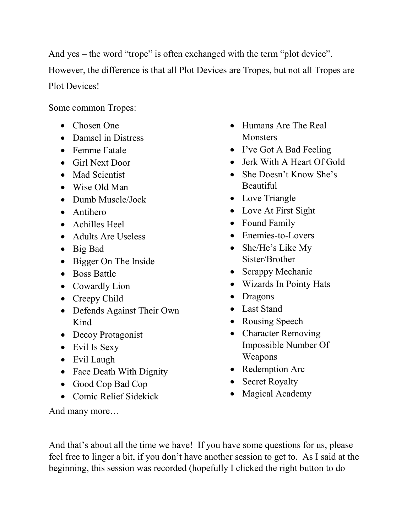And yes – the word "trope" is often exchanged with the term "plot device". However, the difference is that all Plot Devices are Tropes, but not all Tropes are Plot Devices!

Some common Tropes:

- Chosen One
- Damsel in Distress
- Femme Fatale
- Girl Next Door
- Mad Scientist
- Wise Old Man
- Dumb Muscle/Jock
- Antihero
- Achilles Heel
- Adults Are Useless
- Big Bad
- Bigger On The Inside
- Boss Battle
- Cowardly Lion
- Creepy Child
- Defends Against Their Own Kind
- Decoy Protagonist
- Evil Is Sexy
- Evil Laugh
- Face Death With Dignity
- Good Cop Bad Cop
- Comic Relief Sidekick

And many more…

- Humans Are The Real **Monsters**
- I've Got A Bad Feeling
- Jerk With A Heart Of Gold
- She Doesn't Know She's Beautiful
- Love Triangle
- Love At First Sight
- Found Family
- Enemies-to-Lovers
- She/He's Like My Sister/Brother
- Scrappy Mechanic
- Wizards In Pointy Hats
- Dragons
- Last Stand
- Rousing Speech
- Character Removing Impossible Number Of Weapons
- Redemption Arc
- Secret Royalty
- Magical Academy

And that's about all the time we have! If you have some questions for us, please feel free to linger a bit, if you don't have another session to get to. As I said at the beginning, this session was recorded (hopefully I clicked the right button to do